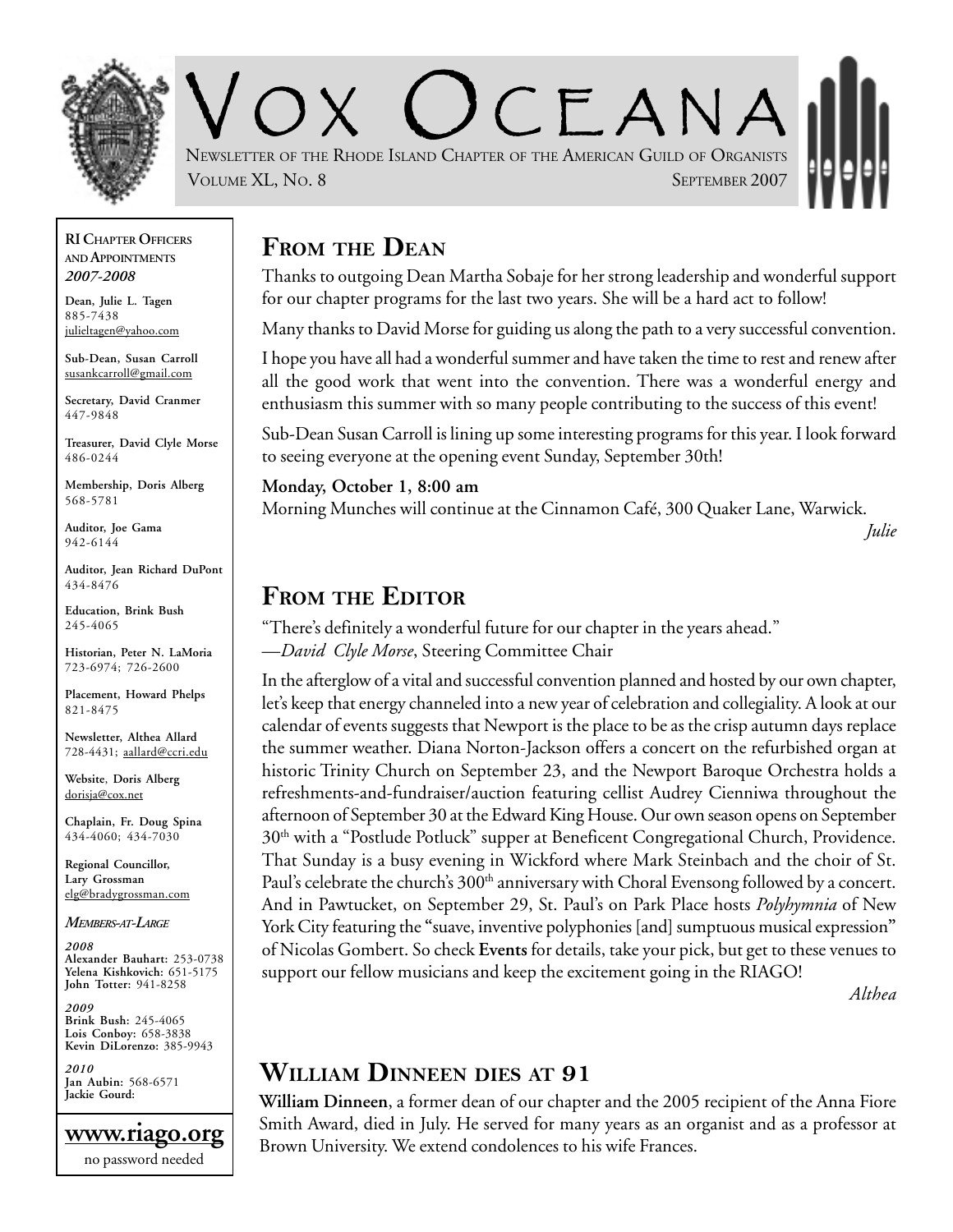

 $CFANA$ NEWSLETTER OF THE RHODE ISLAND CHAPTER OF THE AMERICAN GUILD OF ORGANISTS VOLUME XL, No. 8 SEPTEMBER 2007

#### **RI CHAPTER OFFICERS AND APPOINTMENTS** *2007-2008*

**Dean, Julie L. Tagen** 885-7438 julieltagen@yahoo.com

**Sub-Dean, Susan Carroll** susankcarroll@gmail.com

**Secretary, David Cranmer** 447-9848

**Treasurer, David Clyle Morse** 486-0244

**Membership, Doris Alberg** 568-5781

**Auditor, Joe Gama** 942-6144

**Auditor, Jean Richard DuPont** 434-8476

**Education, Brink Bush** 245-4065

**Historian, Peter N. LaMoria** 723-6974; 726-2600

**Placement, Howard Phelps** 821-8475

**Newsletter, Althea Allard** 728-4431; aallard@ccri.edu

**Website**, **Doris Alberg** dorisja@cox.net

**Chaplain, Fr. Doug Spina** 434-4060; 434-7030

**Regional Councillor, Lary Grossman** elg@bradygrossman.com

#### *MEMBERS-AT-LARGE*

*2008* **Alexander Bauhart:** 253-0738 **Yelena Kishkovich:** 651-5175 **John Totter:** 941-8258

*2009* **Brink Bush:** 245-4065 **Lois Conboy:** 658-3838 **Kevin DiLorenzo:** 385-9943

*2010* **Jan Aubin:** 568-6571 **Jackie Gourd:**



### **FROM THE DEAN**

Thanks to outgoing Dean Martha Sobaje for her strong leadership and wonderful support for our chapter programs for the last two years. She will be a hard act to follow!

Many thanks to David Morse for guiding us along the path to a very successful convention.

I hope you have all had a wonderful summer and have taken the time to rest and renew after all the good work that went into the convention. There was a wonderful energy and enthusiasm this summer with so many people contributing to the success of this event!

Sub-Dean Susan Carroll is lining up some interesting programs for this year. I look forward to seeing everyone at the opening event Sunday, September 30th!

**Monday, October 1, 8:00 am** Morning Munches will continue at the Cinnamon Café, 300 Quaker Lane, Warwick. *Julie*

#### **FROM THE EDITOR**

"There's definitely a wonderful future for our chapter in the years ahead." —*David Clyle Morse*, Steering Committee Chair

In the afterglow of a vital and successful convention planned and hosted by our own chapter, let's keep that energy channeled into a new year of celebration and collegiality. A look at our calendar of events suggests that Newport is the place to be as the crisp autumn days replace the summer weather. Diana Norton-Jackson offers a concert on the refurbished organ at historic Trinity Church on September 23, and the Newport Baroque Orchestra holds a refreshments-and-fundraiser/auction featuring cellist Audrey Cienniwa throughout the afternoon of September 30 at the Edward King House. Our own season opens on September 30<sup>th</sup> with a "Postlude Potluck" supper at Beneficent Congregational Church, Providence. That Sunday is a busy evening in Wickford where Mark Steinbach and the choir of St. Paul's celebrate the church's 300<sup>th</sup> anniversary with Choral Evensong followed by a concert. And in Pawtucket, on September 29, St. Paul's on Park Place hosts *Polyhymnia* of New York City featuring the **"**suave, inventive polyphonies [and] sumptuous musical expression**"** of Nicolas Gombert. So check **Events** for details, take your pick, but get to these venues to support our fellow musicians and keep the excitement going in the RIAGO!

*Althea*

#### **WILLIAM DINNEEN DIES AT 91**

**William Dinneen**, a former dean of our chapter and the 2005 recipient of the Anna Fiore Smith Award, died in July. He served for many years as an organist and as a professor at Brown University. We extend condolences to his wife Frances.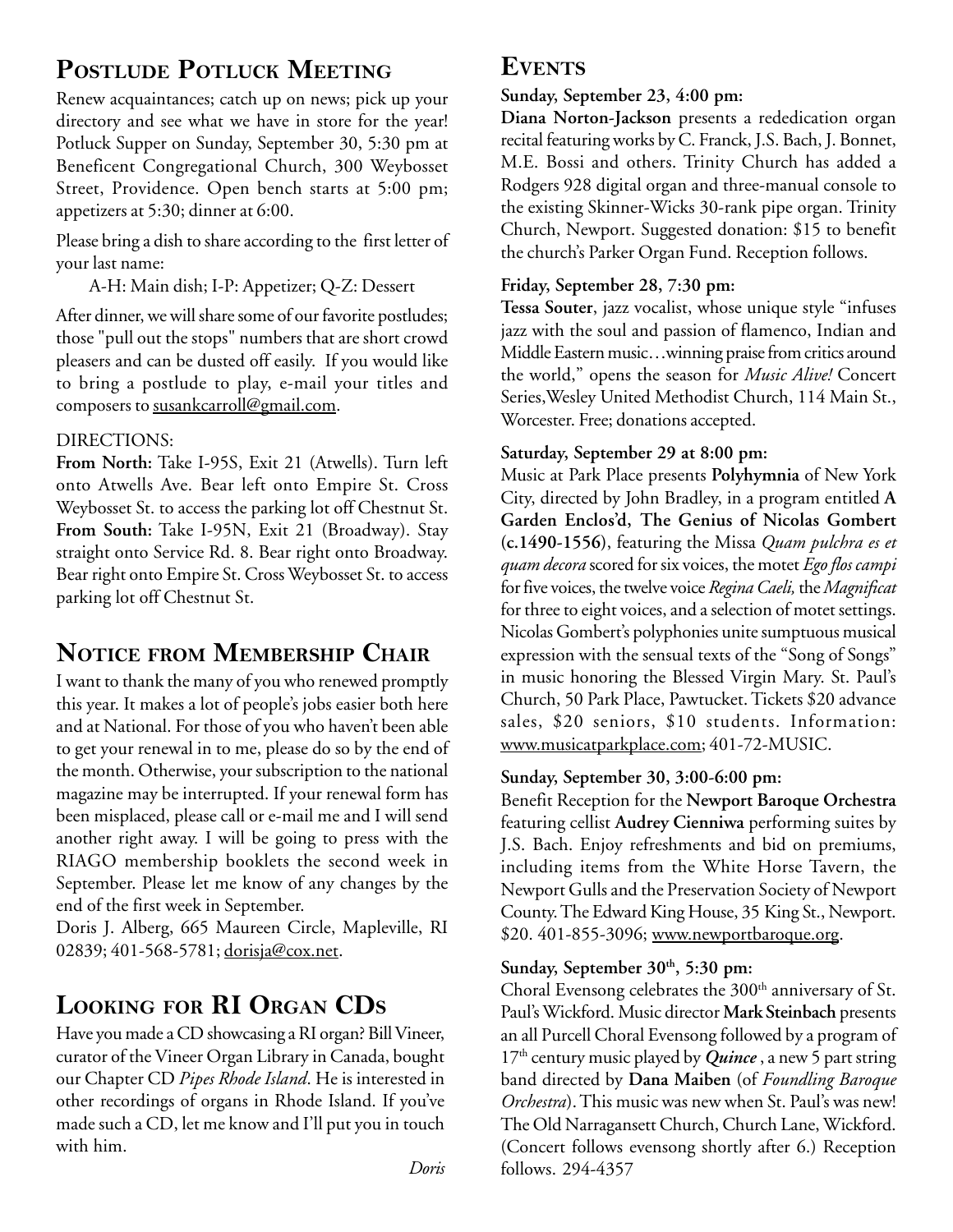# **POSTLUDE POTLUCK MEETING**

Renew acquaintances; catch up on news; pick up your directory and see what we have in store for the year! Potluck Supper on Sunday, September 30, 5:30 pm at Beneficent Congregational Church, 300 Weybosset Street, Providence. Open bench starts at 5:00 pm; appetizers at 5:30; dinner at 6:00.

Please bring a dish to share according to the first letter of your last name:

A-H: Main dish; I-P: Appetizer; Q-Z: Dessert

After dinner, we will share some of our favorite postludes; those "pull out the stops" numbers that are short crowd pleasers and can be dusted off easily. If you would like to bring a postlude to play, e-mail your titles and composers to susankcarroll@gmail.com.

#### DIRECTIONS:

**From North:** Take I-95S, Exit 21 (Atwells). Turn left onto Atwells Ave. Bear left onto Empire St. Cross Weybosset St. to access the parking lot off Chestnut St. **From South:** Take I-95N, Exit 21 (Broadway). Stay straight onto Service Rd. 8. Bear right onto Broadway. Bear right onto Empire St. Cross Weybosset St. to access parking lot off Chestnut St.

# **NOTICE FROM MEMBERSHIP CHAIR**

I want to thank the many of you who renewed promptly this year. It makes a lot of people's jobs easier both here and at National. For those of you who haven't been able to get your renewal in to me, please do so by the end of the month. Otherwise, your subscription to the national magazine may be interrupted. If your renewal form has been misplaced, please call or e-mail me and I will send another right away. I will be going to press with the RIAGO membership booklets the second week in September. Please let me know of any changes by the end of the first week in September.

Doris J. Alberg, 665 Maureen Circle, Mapleville, RI 02839; 401-568-5781; dorisja@cox.net.

# **LOOKING FOR RI ORGAN CDS**

Have you made a CD showcasing a RI organ? Bill Vineer, curator of the Vineer Organ Library in Canada, bought our Chapter CD *Pipes Rhode Island*. He is interested in other recordings of organs in Rhode Island. If you've made such a CD, let me know and I'll put you in touch with him.

#### **Sunday, September 23, 4:00 pm:**

**Diana Norton-Jackson** presents a rededication organ recital featuring works by C. Franck, J.S. Bach, J. Bonnet, M.E. Bossi and others. Trinity Church has added a Rodgers 928 digital organ and three-manual console to the existing Skinner-Wicks 30-rank pipe organ. Trinity Church, Newport. Suggested donation: \$15 to benefit the church's Parker Organ Fund. Reception follows.

#### **Friday, September 28, 7:30 pm:**

**Tessa Souter**, jazz vocalist, whose unique style "infuses jazz with the soul and passion of flamenco, Indian and Middle Eastern music…winning praise from critics around the world," opens the season for *Music Alive!* Concert Series,Wesley United Methodist Church, 114 Main St., Worcester. Free; donations accepted.

#### **Saturday, September 29 at 8:00 pm:**

Music at Park Place presents **Polyhymnia** of New York City, directed by John Bradley, in a program entitled **A Garden Enclos'd, The Genius of Nicolas Gombert (c.1490-1556)**, featuring the Missa *Quam pulchra es et quam decora* scored for six voices, the motet *Ego flos campi* for five voices, the twelve voice *Regina Caeli,* the *Magnificat* for three to eight voices, and a selection of motet settings. Nicolas Gombert's polyphonies unite sumptuous musical expression with the sensual texts of the "Song of Songs" in music honoring the Blessed Virgin Mary. St. Paul's Church, 50 Park Place, Pawtucket. Tickets \$20 advance sales, \$20 seniors, \$10 students. Information: www.musicatparkplace.com; 401-72-MUSIC.

#### **Sunday, September 30, 3:00-6:00 pm:**

Benefit Reception for the **Newport Baroque Orchestra** featuring cellist **Audrey Cienniwa** performing suites by J.S. Bach. Enjoy refreshments and bid on premiums, including items from the White Horse Tavern, the Newport Gulls and the Preservation Society of Newport County. The Edward King House, 35 King St., Newport. \$20. 401-855-3096; www.newportbaroque.org.

#### Sunday, September 30<sup>th</sup>, 5:30 pm:

Choral Evensong celebrates the 300<sup>th</sup> anniversary of St. Paul's Wickford. Music director **Mark Steinbach** presents an all Purcell Choral Evensong followed by a program of 17<sup>th</sup> century music played by *Quince*, a new 5 part string band directed by **Dana Maiben** (of *Foundling Baroque Orchestra*). This music was new when St. Paul's was new! The Old Narragansett Church, Church Lane, Wickford. (Concert follows evensong shortly after 6.) Reception follows. 294-4357